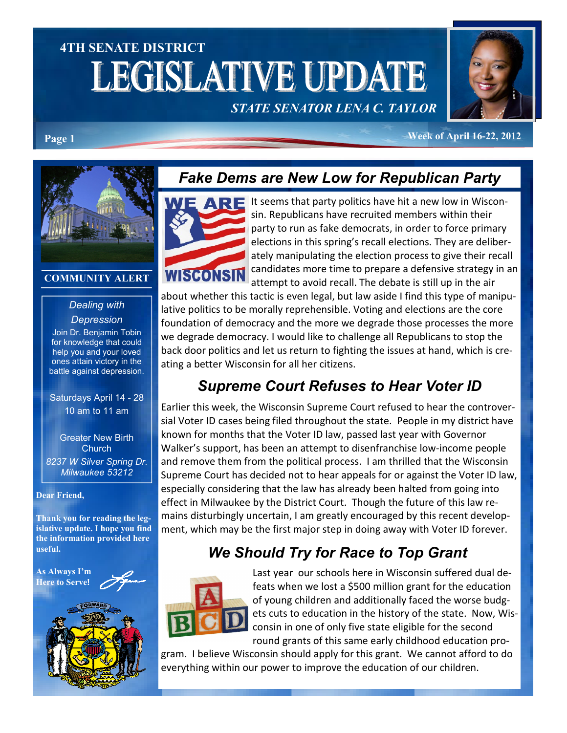# 4TH SENATE DISTRICT **LEGISLATIVE UPDATE**

# STATE SENATOR LENA C. TAYLOR



Page 1 Week of April 16-22, 2012



#### COMMUNITY ALERT

#### Dealing with **Depression**

Join Dr. Benjamin Tobin for knowledge that could help you and your loved ones attain victory in the battle against depression.

Saturdays April 14 - 28 10 am to 11 am

Greater New Birth **Church** 8237 W Silver Spring Dr. Milwaukee 53212

#### Dear Friend,

Thank you for reading the legislative update. I hope you find the information provided here useful.

As Always I'm Here to Serve!



# Fake Dems are New Low for Republican Party



It seems that party politics have hit a new low in Wisconsin. Republicans have recruited members within their party to run as fake democrats, in order to force primary elections in this spring's recall elections. They are deliberately manipulating the election process to give their recall candidates more time to prepare a defensive strategy in an attempt to avoid recall. The debate is still up in the air

about whether this tactic is even legal, but law aside I find this type of manipulative politics to be morally reprehensible. Voting and elections are the core foundation of democracy and the more we degrade those processes the more we degrade democracy. I would like to challenge all Republicans to stop the back door politics and let us return to fighting the issues at hand, which is creating a better Wisconsin for all her citizens.

# Supreme Court Refuses to Hear Voter ID

Earlier this week, the Wisconsin Supreme Court refused to hear the controversial Voter ID cases being filed throughout the state. People in my district have known for months that the Voter ID law, passed last year with Governor Walker's support, has been an attempt to disenfranchise low-income people and remove them from the political process. I am thrilled that the Wisconsin Supreme Court has decided not to hear appeals for or against the Voter ID law, especially considering that the law has already been halted from going into effect in Milwaukee by the District Court. Though the future of this law remains disturbingly uncertain, I am greatly encouraged by this recent development, which may be the first major step in doing away with Voter ID forever.

# We Should Try for Race to Top Grant



Last year our schools here in Wisconsin suffered dual defeats when we lost a \$500 million grant for the education of young children and additionally faced the worse budgets cuts to education in the history of the state. Now, Wisconsin in one of only five state eligible for the second round grants of this same early childhood education pro-

gram. I believe Wisconsin should apply for this grant. We cannot afford to do everything within our power to improve the education of our children.